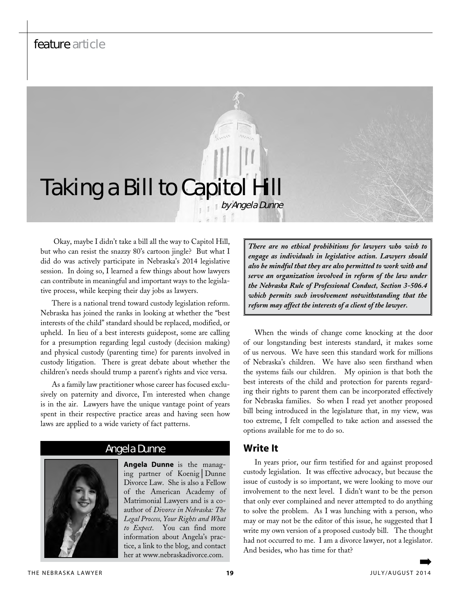# feature article

# **Taking a Bill to Capitol H** by Angela Dunne

 Okay, maybe I didn't take a bill all the way to Capitol Hill, but who can resist the snazzy 80's cartoon jingle? But what I did do was actively participate in Nebraska's 2014 legislative session. In doing so, I learned a few things about how lawyers can contribute in meaningful and important ways to the legislative process, while keeping their day jobs as lawyers.

There is a national trend toward custody legislation reform. Nebraska has joined the ranks in looking at whether the "best interests of the child" standard should be replaced, modified, or upheld. In lieu of a best interests guidepost, some are calling for a presumption regarding legal custody (decision making) and physical custody (parenting time) for parents involved in custody litigation. There is great debate about whether the children's needs should trump a parent's rights and vice versa.

As a family law practitioner whose career has focused exclusively on paternity and divorce, I'm interested when change is in the air. Lawyers have the unique vantage point of years spent in their respective practice areas and having seen how laws are applied to a wide variety of fact patterns.

#### Angela Dunne

**Angela Dunne** is the managing partner of Koenig│Dunne Divorce Law. She is also a Fellow of the American Academy of Matrimonial Lawyers and is a coauthor of *Divorce in Nebraska: The Legal Process, Your Rights and What to Expect*. You can find more information about Angela's practice, a link to the blog, and contact her at www.nebraskadivorce.com.

*There are no ethical prohibitions for lawyers who wish to engage as individuals in legislative action. Lawyers should also be mindful that they are also permitted to work with and serve an organization involved in reform of the law under the Nebraska Rule of Professional Conduct, Section 3-506.4 which permits such involvement notwithstanding that the reform may affect the interests of a client of the lawyer.*

When the winds of change come knocking at the door of our longstanding best interests standard, it makes some of us nervous. We have seen this standard work for millions of Nebraska's children. We have also seen firsthand when the systems fails our children. My opinion is that both the best interests of the child and protection for parents regarding their rights to parent them can be incorporated effectively for Nebraska families. So when I read yet another proposed bill being introduced in the legislature that, in my view, was too extreme, I felt compelled to take action and assessed the options available for me to do so.

#### **Write It**

In years prior, our firm testified for and against proposed custody legislation. It was effective advocacy, but because the issue of custody is so important, we were looking to move our involvement to the next level. I didn't want to be the person that only ever complained and never attempted to do anything to solve the problem. As I was lunching with a person, who may or may not be the editor of this issue, he suggested that I write my own version of a proposed custody bill. The thought had not occurred to me. I am a divorce lawyer, not a legislator. And besides, who has time for that?

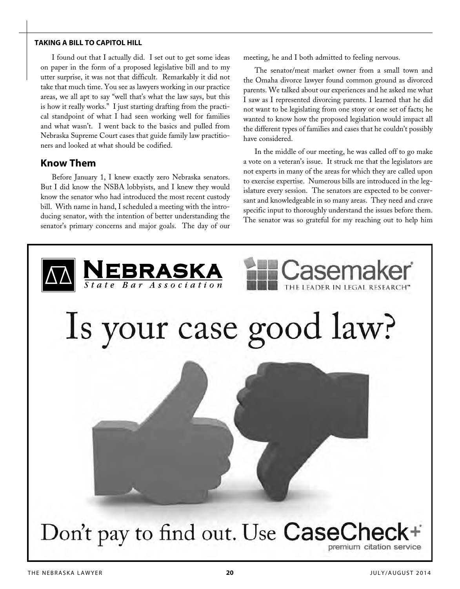#### **taking a bill to capitol hill**

I found out that I actually did. I set out to get some ideas on paper in the form of a proposed legislative bill and to my utter surprise, it was not that difficult. Remarkably it did not take that much time. You see as lawyers working in our practice areas, we all apt to say "well that's what the law says, but this is how it really works." I just starting drafting from the practical standpoint of what I had seen working well for families and what wasn't. I went back to the basics and pulled from Nebraska Supreme Court cases that guide family law practitioners and looked at what should be codified.

#### **Know Them**

Before January 1, I knew exactly zero Nebraska senators. But I did know the NSBA lobbyists, and I knew they would know the senator who had introduced the most recent custody bill. With name in hand, I scheduled a meeting with the introducing senator, with the intention of better understanding the senator's primary concerns and major goals. The day of our meeting, he and I both admitted to feeling nervous.

The senator/meat market owner from a small town and the Omaha divorce lawyer found common ground as divorced parents. We talked about our experiences and he asked me what I saw as I represented divorcing parents. I learned that he did not want to be legislating from one story or one set of facts; he wanted to know how the proposed legislation would impact all the different types of families and cases that he couldn't possibly have considered.

In the middle of our meeting, he was called off to go make a vote on a veteran's issue. It struck me that the legislators are not experts in many of the areas for which they are called upon to exercise expertise. Numerous bills are introduced in the legislature every session. The senators are expected to be conversant and knowledgeable in so many areas. They need and crave specific input to thoroughly understand the issues before them. The senator was so grateful for my reaching out to help him